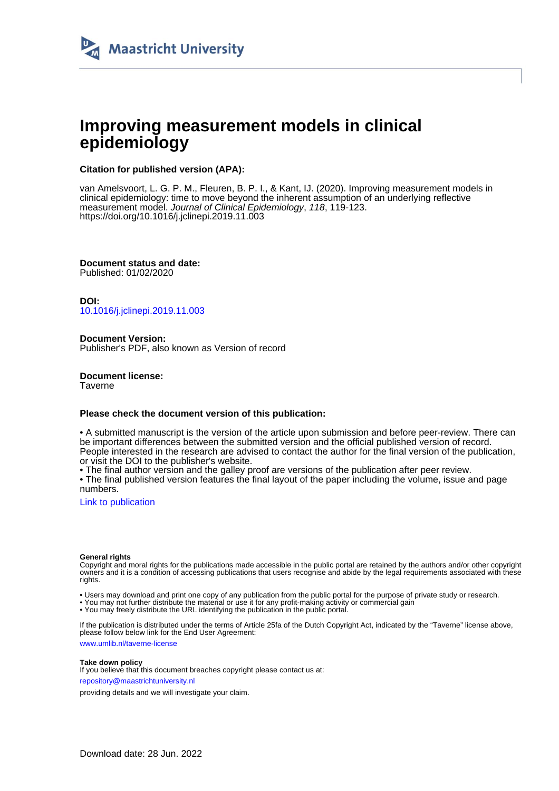

# **Improving measurement models in clinical epidemiology**

## **Citation for published version (APA):**

van Amelsvoort, L. G. P. M., Fleuren, B. P. I., & Kant, IJ. (2020). Improving measurement models in clinical epidemiology: time to move beyond the inherent assumption of an underlying reflective measurement model. Journal of Clinical Epidemiology, 118, 119-123. <https://doi.org/10.1016/j.jclinepi.2019.11.003>

**Document status and date:** Published: 01/02/2020

**DOI:** [10.1016/j.jclinepi.2019.11.003](https://doi.org/10.1016/j.jclinepi.2019.11.003)

**Document Version:** Publisher's PDF, also known as Version of record

**Document license: Taverne** 

## **Please check the document version of this publication:**

• A submitted manuscript is the version of the article upon submission and before peer-review. There can be important differences between the submitted version and the official published version of record. People interested in the research are advised to contact the author for the final version of the publication, or visit the DOI to the publisher's website.

• The final author version and the galley proof are versions of the publication after peer review.

• The final published version features the final layout of the paper including the volume, issue and page numbers.

[Link to publication](https://cris.maastrichtuniversity.nl/en/publications/28d5838c-9aa2-4450-9aad-a251ed8f194b)

#### **General rights**

Copyright and moral rights for the publications made accessible in the public portal are retained by the authors and/or other copyright owners and it is a condition of accessing publications that users recognise and abide by the legal requirements associated with these rights.

• Users may download and print one copy of any publication from the public portal for the purpose of private study or research.

• You may not further distribute the material or use it for any profit-making activity or commercial gain

• You may freely distribute the URL identifying the publication in the public portal.

If the publication is distributed under the terms of Article 25fa of the Dutch Copyright Act, indicated by the "Taverne" license above, please follow below link for the End User Agreement:

www.umlib.nl/taverne-license

#### **Take down policy**

If you believe that this document breaches copyright please contact us at: repository@maastrichtuniversity.nl

providing details and we will investigate your claim.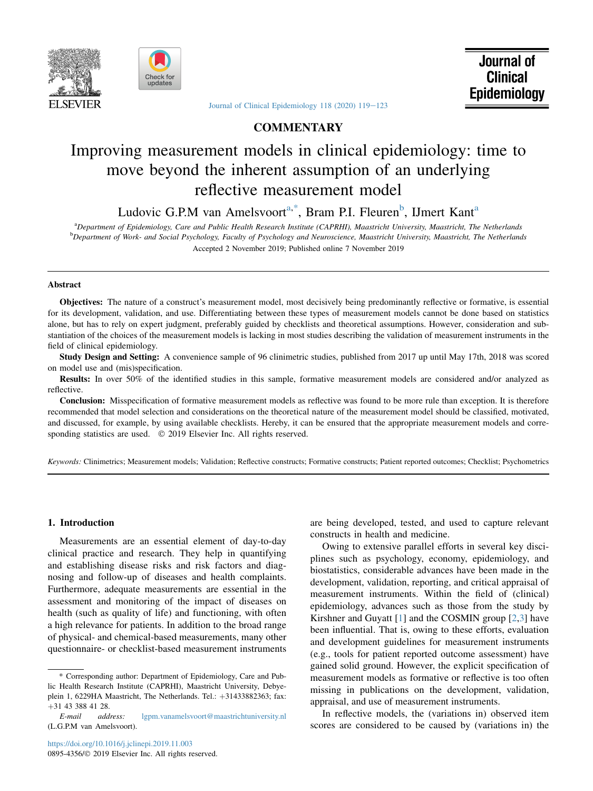



[Journal of Clinical Epidemiology 118 \(2020\) 119](https://doi.org/10.1016/j.jclinepi.2019.11.003)-[123](https://doi.org/10.1016/j.jclinepi.2019.11.003)

## **COMMENTARY**

## Improving measurement models in clinical epidemiology: time to move beyond the inherent assumption of an underlying reflective measurement model

Ludovic G.P.M van Amelsvoort<sup>a,\*</sup>, Bram P.I. Fleuren<sup>b</sup>, IJmert Kant<sup>a</sup>

a Department of Epidemiology, Care and Public Health Research Institute (CAPRHI), Maastricht University, Maastricht, The Netherlands b Department of Work- and Social Psychology, Faculty of Psychology and Neuroscience, Maastricht University, Maastricht, The Netherlands Accepted 2 November 2019; Published online 7 November 2019

#### Abstract

Objectives: The nature of a construct's measurement model, most decisively being predominantly reflective or formative, is essential for its development, validation, and use. Differentiating between these types of measurement models cannot be done based on statistics alone, but has to rely on expert judgment, preferably guided by checklists and theoretical assumptions. However, consideration and substantiation of the choices of the measurement models is lacking in most studies describing the validation of measurement instruments in the field of clinical epidemiology.

Study Design and Setting: A convenience sample of 96 clinimetric studies, published from 2017 up until May 17th, 2018 was scored on model use and (mis)specification.

Results: In over 50% of the identified studies in this sample, formative measurement models are considered and/or analyzed as reflective.

Conclusion: Misspecification of formative measurement models as reflective was found to be more rule than exception. It is therefore recommended that model selection and considerations on the theoretical nature of the measurement model should be classified, motivated, and discussed, for example, by using available checklists. Hereby, it can be ensured that the appropriate measurement models and corresponding statistics are used.  $\circ$  2019 Elsevier Inc. All rights reserved.

Keywords: Clinimetrics; Measurement models; Validation; Reflective constructs; Formative constructs; Patient reported outcomes; Checklist; Psychometrics

#### 1. Introduction

Measurements are an essential element of day-to-day clinical practice and research. They help in quantifying and establishing disease risks and risk factors and diagnosing and follow-up of diseases and health complaints. Furthermore, adequate measurements are essential in the assessment and monitoring of the impact of diseases on health (such as quality of life) and functioning, with often a high relevance for patients. In addition to the broad range of physical- and chemical-based measurements, many other questionnaire- or checklist-based measurement instruments are being developed, tested, and used to capture relevant constructs in health and medicine.

Owing to extensive parallel efforts in several key disciplines such as psychology, economy, epidemiology, and biostatistics, considerable advances have been made in the development, validation, reporting, and critical appraisal of measurement instruments. Within the field of (clinical) epidemiology, advances such as those from the study by Kirshner and Guyatt  $[1]$  $[1]$  and the COSMIN group  $[2,3]$  $[2,3]$  $[2,3]$  have been influential. That is, owing to these efforts, evaluation and development guidelines for measurement instruments (e.g., tools for patient reported outcome assessment) have gained solid ground. However, the explicit specification of measurement models as formative or reflective is too often missing in publications on the development, validation, appraisal, and use of measurement instruments.

In reflective models, the (variations in) observed item scores are considered to be caused by (variations in) the

<sup>\*</sup> Corresponding author: Department of Epidemiology, Care and Public Health Research Institute (CAPRHI), Maastricht University, Debyeplein 1, 6229HA Maastricht, The Netherlands. Tel.:  $+31433882363$ ; fax:  $+31$  43 388 41 28.<br>E-mail address:

[lgpm.vanamelsvoort@maastrichtuniversity.nl](mailto:lgpm.vanamelsvoort@maastrichtuniversity.nl) (L.G.P.M van Amelsvoort).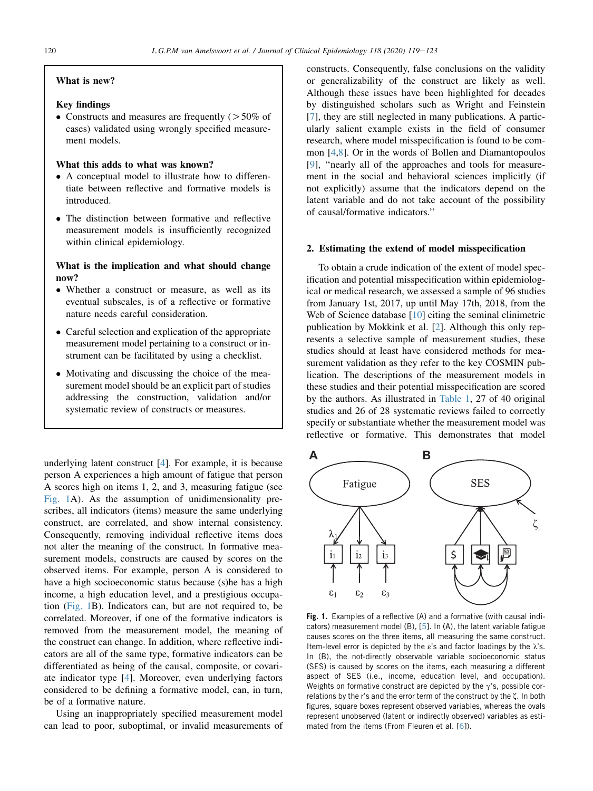## What is new?

## Key findings

• Constructs and measures are frequently  $($  > 50% of cases) validated using wrongly specified measurement models.

## What this adds to what was known?

- A conceptual model to illustrate how to differentiate between reflective and formative models is introduced.
- The distinction between formative and reflective measurement models is insufficiently recognized within clinical epidemiology.

## What is the implication and what should change now?

- Whether a construct or measure, as well as its eventual subscales, is of a reflective or formative nature needs careful consideration.
- Careful selection and explication of the appropriate measurement model pertaining to a construct or instrument can be facilitated by using a checklist.
- Motivating and discussing the choice of the measurement model should be an explicit part of studies addressing the construction, validation and/or systematic review of constructs or measures.

underlying latent construct [[4\]](#page-5-0). For example, it is because person A experiences a high amount of fatigue that person A scores high on items 1, 2, and 3, measuring fatigue (see Fig. 1A). As the assumption of unidimensionality prescribes, all indicators (items) measure the same underlying construct, are correlated, and show internal consistency. Consequently, removing individual reflective items does not alter the meaning of the construct. In formative measurement models, constructs are caused by scores on the observed items. For example, person A is considered to have a high socioeconomic status because (s)he has a high income, a high education level, and a prestigious occupation (Fig. 1B). Indicators can, but are not required to, be correlated. Moreover, if one of the formative indicators is removed from the measurement model, the meaning of the construct can change. In addition, where reflective indicators are all of the same type, formative indicators can be differentiated as being of the causal, composite, or covariate indicator type [[4\]](#page-5-0). Moreover, even underlying factors considered to be defining a formative model, can, in turn, be of a formative nature.

Using an inappropriately specified measurement model can lead to poor, suboptimal, or invalid measurements of constructs. Consequently, false conclusions on the validity or generalizability of the construct are likely as well. Although these issues have been highlighted for decades by distinguished scholars such as Wright and Feinstein [\[7](#page-5-0)], they are still neglected in many publications. A particularly salient example exists in the field of consumer research, where model misspecification is found to be common [\[4](#page-5-0),[8\]](#page-5-0). Or in the words of Bollen and Diamantopoulos [\[9](#page-5-0)], ''nearly all of the approaches and tools for measurement in the social and behavioral sciences implicitly (if not explicitly) assume that the indicators depend on the latent variable and do not take account of the possibility of causal/formative indicators.''

#### 2. Estimating the extend of model misspecification

To obtain a crude indication of the extent of model specification and potential misspecification within epidemiological or medical research, we assessed a sample of 96 studies from January 1st, 2017, up until May 17th, 2018, from the Web of Science database [[10\]](#page-5-0) citing the seminal clinimetric publication by Mokkink et al. [[2\]](#page-5-0). Although this only represents a selective sample of measurement studies, these studies should at least have considered methods for measurement validation as they refer to the key COSMIN publication. The descriptions of the measurement models in these studies and their potential misspecification are scored by the authors. As illustrated in [Table 1,](#page-3-0) 27 of 40 original studies and 26 of 28 systematic reviews failed to correctly specify or substantiate whether the measurement model was reflective or formative. This demonstrates that model



**Fig. 1.** Examples of a reflective (A) and a formative (with causal indicators) measurement model (B), [\[5](#page-5-0)]. In (A), the latent variable fatigue causes scores on the three items, all measuring the same construct. Item-level error is depicted by the  $\varepsilon$ 's and factor loadings by the  $\lambda$ 's. In (B), the not-directly observable variable socioeconomic status (SES) is caused by scores on the items, each measuring a different aspect of SES (i.e., income, education level, and occupation). Weights on formative construct are depicted by the  $\gamma$ 's, possible correlations by the r's and the error term of the construct by the ζ. In both figures, square boxes represent observed variables, whereas the ovals represent unobserved (latent or indirectly observed) variables as estimated from the items (From Fleuren et al. [\[6\]](#page-5-0)).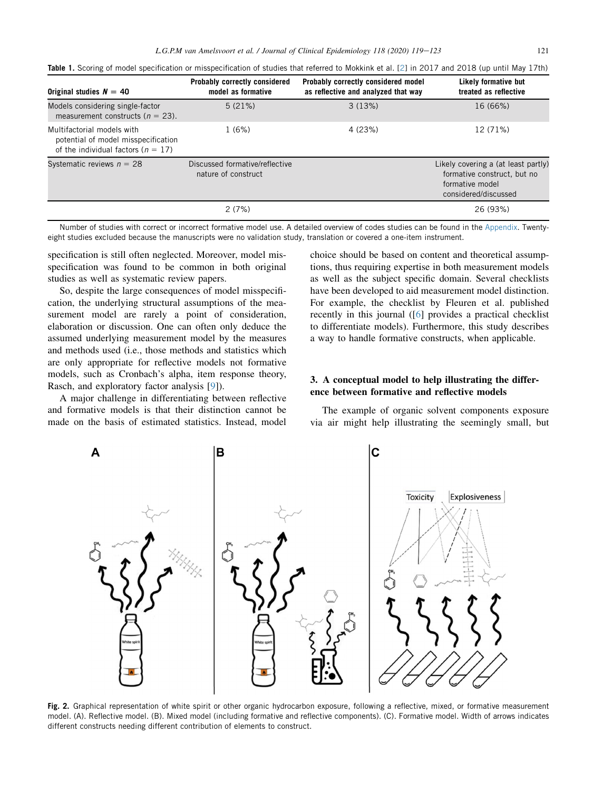| Original studies $N = 40$                                                                                 | Probably correctly considered<br>model as formative   | Probably correctly considered model<br>as reflective and analyzed that way | Likely formative but<br>treated as reflective                                                                 |
|-----------------------------------------------------------------------------------------------------------|-------------------------------------------------------|----------------------------------------------------------------------------|---------------------------------------------------------------------------------------------------------------|
| Models considering single-factor<br>measurement constructs ( $n = 23$ ).                                  | 5(21%)                                                | 3(13%)                                                                     | 16 (66%)                                                                                                      |
| Multifactorial models with<br>potential of model misspecification<br>of the individual factors $(n = 17)$ | 1(6%)                                                 | 4 (23%)                                                                    | 12 (71%)                                                                                                      |
| Systematic reviews $n = 28$                                                                               | Discussed formative/reflective<br>nature of construct |                                                                            | Likely covering a (at least partly)<br>formative construct, but no<br>formative model<br>considered/discussed |
|                                                                                                           | 2(7%)                                                 |                                                                            | 26 (93%)                                                                                                      |

<span id="page-3-0"></span>**Table 1.** Scoring of model specification or misspecification of studies that referred to Mokkink et al. [[2](#page-5-0)] in 2017 and 2018 (up until May 17th)

Number of studies with correct or incorrect formative model use. A detailed overview of codes studies can be found in the [Appendix](#page-5-0). Twentyeight studies excluded because the manuscripts were no validation study, translation or covered a one-item instrument.

specification is still often neglected. Moreover, model misspecification was found to be common in both original studies as well as systematic review papers.

So, despite the large consequences of model misspecification, the underlying structural assumptions of the measurement model are rarely a point of consideration, elaboration or discussion. One can often only deduce the assumed underlying measurement model by the measures and methods used (i.e., those methods and statistics which are only appropriate for reflective models not formative models, such as Cronbach's alpha, item response theory, Rasch, and exploratory factor analysis [[9\]](#page-5-0)).

A major challenge in differentiating between reflective and formative models is that their distinction cannot be made on the basis of estimated statistics. Instead, model choice should be based on content and theoretical assumptions, thus requiring expertise in both measurement models as well as the subject specific domain. Several checklists have been developed to aid measurement model distinction. For example, the checklist by Fleuren et al. published recently in this journal ([[6\]](#page-5-0) provides a practical checklist to differentiate models). Furthermore, this study describes a way to handle formative constructs, when applicable.

## 3. A conceptual model to help illustrating the difference between formative and reflective models

The example of organic solvent components exposure via air might help illustrating the seemingly small, but



**Fig. 2.** Graphical representation of white spirit or other organic hydrocarbon exposure, following a reflective, mixed, or formative measurement model. (A). Reflective model. (B). Mixed model (including formative and reflective components). (C). Formative model. Width of arrows indicates different constructs needing different contribution of elements to construct.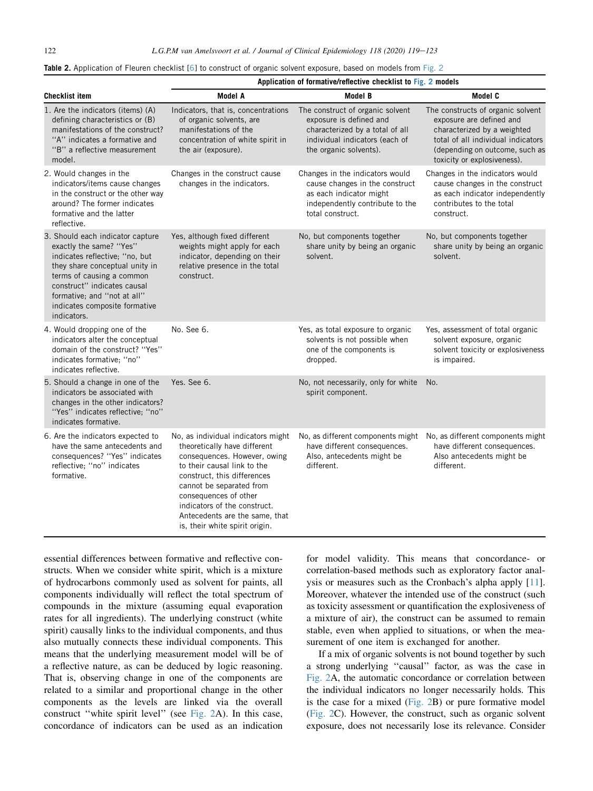<span id="page-4-0"></span>

| Table 2. Application of Fleuren checklist [6] to construct of organic solvent exposure, based on models from Fig. 2 |  |  |
|---------------------------------------------------------------------------------------------------------------------|--|--|
|---------------------------------------------------------------------------------------------------------------------|--|--|

|                                                                                                                                                                                                                                                                            | Application of formative/reflective checklist to Fig. 2 models                                                                                                                                                                                                                                                            |                                                                                                                                                            |                                                                                                                                                                                                     |  |  |
|----------------------------------------------------------------------------------------------------------------------------------------------------------------------------------------------------------------------------------------------------------------------------|---------------------------------------------------------------------------------------------------------------------------------------------------------------------------------------------------------------------------------------------------------------------------------------------------------------------------|------------------------------------------------------------------------------------------------------------------------------------------------------------|-----------------------------------------------------------------------------------------------------------------------------------------------------------------------------------------------------|--|--|
| <b>Checklist item</b>                                                                                                                                                                                                                                                      | <b>Model A</b>                                                                                                                                                                                                                                                                                                            | <b>Model B</b>                                                                                                                                             | Model C                                                                                                                                                                                             |  |  |
| 1. Are the indicators (items) (A)<br>defining characteristics or (B)<br>manifestations of the construct?<br>"A" indicates a formative and<br>"B" a reflective measurement<br>model.                                                                                        | Indicators, that is, concentrations<br>of organic solvents, are<br>manifestations of the<br>concentration of white spirit in<br>the air (exposure).                                                                                                                                                                       | The construct of organic solvent<br>exposure is defined and<br>characterized by a total of all<br>individual indicators (each of<br>the organic solvents). | The constructs of organic solvent<br>exposure are defined and<br>characterized by a weighted<br>total of all individual indicators<br>(depending on outcome, such as<br>toxicity or explosiveness). |  |  |
| 2. Would changes in the<br>indicators/items cause changes<br>in the construct or the other way<br>around? The former indicates<br>formative and the latter<br>reflective.                                                                                                  | Changes in the construct cause<br>changes in the indicators.                                                                                                                                                                                                                                                              | Changes in the indicators would<br>cause changes in the construct<br>as each indicator might<br>independently contribute to the<br>total construct.        | Changes in the indicators would<br>cause changes in the construct<br>as each indicator independently<br>contributes to the total<br>construct.                                                      |  |  |
| 3. Should each indicator capture<br>exactly the same? "Yes"<br>indicates reflective; "no, but<br>they share conceptual unity in<br>terms of causing a common<br>construct" indicates causal<br>formative; and "not at all"<br>indicates composite formative<br>indicators. | Yes, although fixed different<br>weights might apply for each<br>indicator, depending on their<br>relative presence in the total<br>construct.                                                                                                                                                                            | No, but components together<br>share unity by being an organic<br>solvent.                                                                                 | No, but components together<br>share unity by being an organic<br>solvent.                                                                                                                          |  |  |
| 4. Would dropping one of the<br>indicators alter the conceptual<br>domain of the construct? "Yes"<br>indicates formative; "no"<br>indicates reflective.                                                                                                                    | No. See 6.                                                                                                                                                                                                                                                                                                                | Yes, as total exposure to organic<br>solvents is not possible when<br>one of the components is<br>dropped.                                                 | Yes, assessment of total organic<br>solvent exposure, organic<br>solvent toxicity or explosiveness<br>is impaired.                                                                                  |  |  |
| 5. Should a change in one of the<br>indicators be associated with<br>changes in the other indicators?<br>"Yes" indicates reflective; "no"<br>indicates formative.                                                                                                          | Yes. See 6.                                                                                                                                                                                                                                                                                                               | No, not necessarily, only for white<br>spirit component.                                                                                                   | No.                                                                                                                                                                                                 |  |  |
| 6. Are the indicators expected to<br>have the same antecedents and<br>consequences? "Yes" indicates<br>reflective; "no" indicates<br>formative.                                                                                                                            | No, as individual indicators might<br>theoretically have different<br>consequences. However, owing<br>to their causal link to the<br>construct, this differences<br>cannot be separated from<br>consequences of other<br>indicators of the construct.<br>Antecedents are the same, that<br>is, their white spirit origin. | No, as different components might<br>have different consequences.<br>Also, antecedents might be<br>different.                                              | No, as different components might<br>have different consequences.<br>Also antecedents might be<br>different.                                                                                        |  |  |

essential differences between formative and reflective constructs. When we consider white spirit, which is a mixture of hydrocarbons commonly used as solvent for paints, all components individually will reflect the total spectrum of compounds in the mixture (assuming equal evaporation rates for all ingredients). The underlying construct (white spirit) causally links to the individual components, and thus also mutually connects these individual components. This means that the underlying measurement model will be of a reflective nature, as can be deduced by logic reasoning. That is, observing change in one of the components are related to a similar and proportional change in the other components as the levels are linked via the overall construct ''white spirit level'' (see [Fig. 2A](#page-3-0)). In this case, concordance of indicators can be used as an indication for model validity. This means that concordance- or correlation-based methods such as exploratory factor analysis or measures such as the Cronbach's alpha apply [\[11](#page-5-0)]. Moreover, whatever the intended use of the construct (such as toxicity assessment or quantification the explosiveness of a mixture of air), the construct can be assumed to remain stable, even when applied to situations, or when the measurement of one item is exchanged for another.

If a mix of organic solvents is not bound together by such a strong underlying ''causal'' factor, as was the case in [Fig. 2](#page-3-0)A, the automatic concordance or correlation between the individual indicators no longer necessarily holds. This is the case for a mixed ([Fig. 2](#page-3-0)B) or pure formative model [\(Fig. 2C](#page-3-0)). However, the construct, such as organic solvent exposure, does not necessarily lose its relevance. Consider